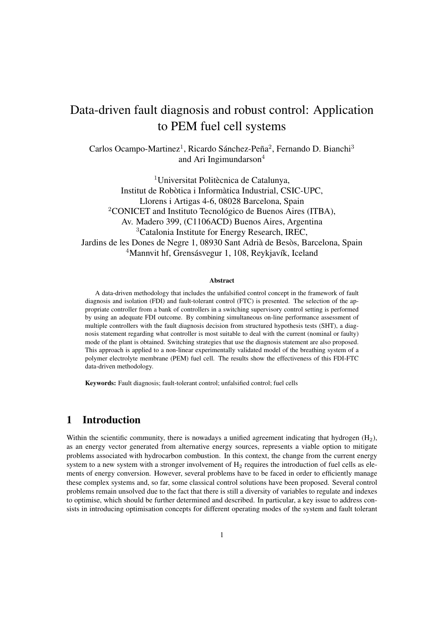# <span id="page-0-0"></span>Data-driven fault diagnosis and robust control: Application to PEM fuel cell systems

Carlos Ocampo-Martinez<sup>1</sup>, Ricardo Sánchez-Peña<sup>2</sup>, Fernando D. Bianchi<sup>3</sup> and Ari Ingimundarson<sup>4</sup>

<sup>1</sup>Universitat Politècnica de Catalunya. Institut de Robòtica i Informàtica Industrial, CSIC-UPC, Llorens i Artigas 4-6, 08028 Barcelona, Spain <sup>2</sup>CONICET and Instituto Tecnológico de Buenos Aires (ITBA), Av. Madero 399, (C1106ACD) Buenos Aires, Argentina <sup>3</sup>Catalonia Institute for Energy Research, IREC, Jardins de les Dones de Negre 1, 08930 Sant Adrià de Besòs, Barcelona, Spain <sup>4</sup>Mannvit hf, Grensásvegur 1, 108, Reykjavík, Iceland

#### Abstract

A data-driven methodology that includes the unfalsified control concept in the framework of fault diagnosis and isolation (FDI) and fault-tolerant control (FTC) is presented. The selection of the appropriate controller from a bank of controllers in a switching supervisory control setting is performed by using an adequate FDI outcome. By combining simultaneous on-line performance assessment of multiple controllers with the fault diagnosis decision from structured hypothesis tests (SHT), a diagnosis statement regarding what controller is most suitable to deal with the current (nominal or faulty) mode of the plant is obtained. Switching strategies that use the diagnosis statement are also proposed. This approach is applied to a non-linear experimentally validated model of the breathing system of a polymer electrolyte membrane (PEM) fuel cell. The results show the effectiveness of this FDI-FTC data-driven methodology.

Keywords: Fault diagnosis; fault-tolerant control; unfalsified control; fuel cells

## 1 Introduction

Within the scientific community, there is nowadays a unified agreement indicating that hydrogen  $(H<sub>2</sub>)$ , as an energy vector generated from alternative energy sources, represents a viable option to mitigate problems associated with hydrocarbon combustion. In this context, the change from the current energy system to a new system with a stronger involvement of  $H_2$  requires the introduction of fuel cells as elements of energy conversion. However, several problems have to be faced in order to efficiently manage these complex systems and, so far, some classical control solutions have been proposed. Several control problems remain unsolved due to the fact that there is still a diversity of variables to regulate and indexes to optimise, which should be further determined and described. In particular, a key issue to address consists in introducing optimisation concepts for different operating modes of the system and fault tolerant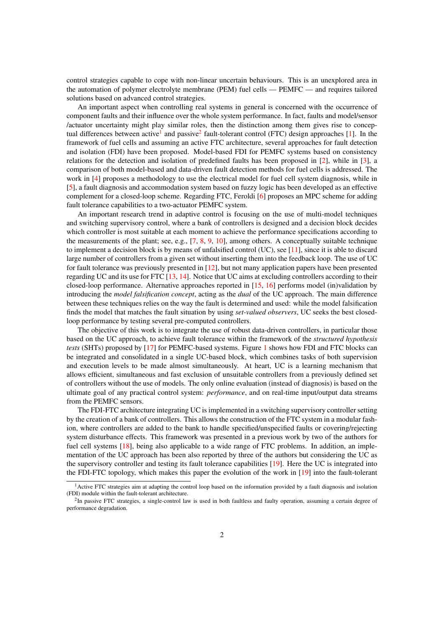control strategies capable to cope with non-linear uncertain behaviours. This is an unexplored area in the automation of polymer electrolyte membrane (PEM) fuel cells — PEMFC — and requires tailored solutions based on advanced control strategies.

An important aspect when controlling real systems in general is concerned with the occurrence of component faults and their influence over the whole system performance. In fact, faults and model/sensor /actuator uncertainty might play similar roles, then the distinction among them gives rise to concep-tual differences between active<sup>[1](#page-0-0)</sup> and passive<sup>[2](#page-0-0)</sup> fault-tolerant control (FTC) design approaches [\[1\]](#page-14-0). In the framework of fuel cells and assuming an active FTC architecture, several approaches for fault detection and isolation (FDI) have been proposed. Model-based FDI for PEMFC systems based on consistency relations for the detection and isolation of predefined faults has been proposed in [\[2\]](#page-15-0), while in [\[3\]](#page-15-1), a comparison of both model-based and data-driven fault detection methods for fuel cells is addressed. The work in [\[4\]](#page-15-2) proposes a methodology to use the electrical model for fuel cell system diagnosis, while in [\[5\]](#page-15-3), a fault diagnosis and accommodation system based on fuzzy logic has been developed as an effective complement for a closed-loop scheme. Regarding FTC, Feroldi [\[6\]](#page-15-4) proposes an MPC scheme for adding fault tolerance capabilities to a two-actuator PEMFC system.

An important research trend in adaptive control is focusing on the use of multi-model techniques and switching supervisory control, where a bank of controllers is designed and a decision block decides which controller is most suitable at each moment to achieve the performance specifications according to the measurements of the plant; see, e.g., [\[7,](#page-15-5) [8,](#page-15-6) [9,](#page-15-7) [10\]](#page-15-8), among others. A conceptually suitable technique to implement a decision block is by means of unfalsified control (UC), see [\[11\]](#page-15-9), since it is able to discard large number of controllers from a given set without inserting them into the feedback loop. The use of UC for fault tolerance was previously presented in [\[12\]](#page-15-10), but not many application papers have been presented regarding UC and its use for FTC [\[13,](#page-15-11) [14\]](#page-15-12). Notice that UC aims at excluding controllers according to their closed-loop performance. Alternative approaches reported in [\[15,](#page-15-13) [16\]](#page-15-14) performs model (in)validation by introducing the *model falsification concept*, acting as the *dual* of the UC approach. The main difference between these techniques relies on the way the fault is determined and used: while the model falsification finds the model that matches the fault situation by using *set-valued observers*, UC seeks the best closedloop performance by testing several pre-computed controllers.

The objective of this work is to integrate the use of robust data-driven controllers, in particular those based on the UC approach, to achieve fault tolerance within the framework of the *structured hypothesis tests* (SHTs) proposed by [\[17\]](#page-15-15) for PEMFC-based systems. Figure [1](#page-2-0) shows how FDI and FTC blocks can be integrated and consolidated in a single UC-based block, which combines tasks of both supervision and execution levels to be made almost simultaneously. At heart, UC is a learning mechanism that allows efficient, simultaneous and fast exclusion of unsuitable controllers from a previously defined set of controllers without the use of models. The only online evaluation (instead of diagnosis) is based on the ultimate goal of any practical control system: *performance*, and on real-time input/output data streams from the PEMFC sensors.

The FDI-FTC architecture integrating UC is implemented in a switching supervisory controller setting by the creation of a bank of controllers. This allows the construction of the FTC system in a modular fashion, where controllers are added to the bank to handle specified/unspecified faults or covering/rejecting system disturbance effects. This framework was presented in a previous work by two of the authors for fuel cell systems [\[18\]](#page-15-16), being also applicable to a wide range of FTC problems. In addition, an implementation of the UC approach has been also reported by three of the authors but considering the UC as the supervisory controller and testing its fault tolerance capabilities [\[19\]](#page-16-0). Here the UC is integrated into the FDI-FTC topology, which makes this paper the evolution of the work in [\[19\]](#page-16-0) into the fault-tolerant

<sup>&</sup>lt;sup>1</sup> Active FTC strategies aim at adapting the control loop based on the information provided by a fault diagnosis and isolation (FDI) module within the fault-tolerant architecture.

<sup>&</sup>lt;sup>2</sup>In passive FTC strategies, a single-control law is used in both faultless and faulty operation, assuming a certain degree of performance degradation.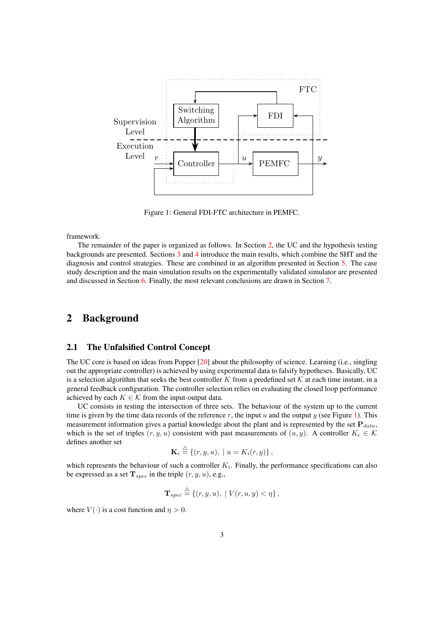

<span id="page-2-0"></span>Figure 1: General FDI-FTC architecture in PEMFC.

framework.

The remainder of the paper is organized as follows. In Section [2,](#page-2-1) the UC and the hypothesis testing backgrounds are presented. Sections [3](#page-5-0) and [4](#page-7-0) introduce the main results, which combine the SHT and the diagnosis and control strategies. These are combined in an algorithm presented in Section [5.](#page-8-0) The case study description and the main simulation results on the experimentally validated simulator are presented and discussed in Section [6.](#page-9-0) Finally, the most relevant conclusions are drawn in Section [7.](#page-14-1)

## <span id="page-2-1"></span>2 Background

## 2.1 The Unfalsified Control Concept

The UC core is based on ideas from Popper [\[20\]](#page-16-1) about the philosophy of science. Learning (i.e., singling out the appropriate controller) is achieved by using experimental data to falsify hypotheses. Basically, UC is a selection algorithm that seeks the best controller K from a predefined set  $K$  at each time instant, in a general feedback configuration. The controller selection relies on evaluating the closed loop performance achieved by each  $K \in \mathcal{K}$  from the input-output data.

UC consists in testing the intersection of three sets. The behaviour of the system up to the current time is given by the time data records of the reference  $r$ , the input  $u$  and the output  $y$  (see Figure [1\)](#page-2-0). This measurement information gives a partial knowledge about the plant and is represented by the set  $P_{data}$ , which is the set of triples  $(r, y, u)$  consistent with past measurements of  $(u, y)$ . A controller  $K_i \in \mathcal{K}$ defines another set

$$
\mathbf{K}_i \stackrel{\triangle}{=} \{(r, y, u), \mid u = K_i(r, y)\},
$$

which represents the behaviour of such a controller  $K_i$ . Finally, the performance specifications can also be expressed as a set  $T_{spec}$  in the triple  $(r, y, u)$ , e.g.,

$$
\mathbf{T}_{spec} \stackrel{\triangle}{=} \{(r, y, u), \mid V(r, u, y) < \eta\},
$$

where  $V(\cdot)$  is a cost function and  $\eta > 0$ .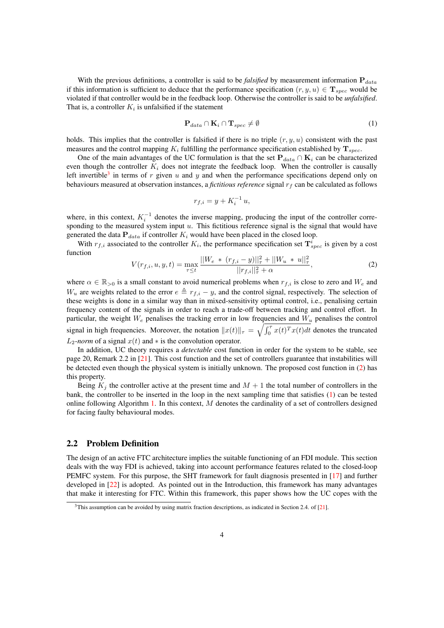With the previous definitions, a controller is said to be *falsified* by measurement information  $P_{data}$ if this information is sufficient to deduce that the performance specification  $(r, y, u) \in$ **T**<sub>spec</sub> would be violated if that controller would be in the feedback loop. Otherwise the controller is said to be *unfalsified*. That is, a controller  $K_i$  is unfalsified if the statement

<span id="page-3-1"></span>
$$
\mathbf{P}_{data} \cap \mathbf{K}_i \cap \mathbf{T}_{spec} \neq \emptyset \tag{1}
$$

holds. This implies that the controller is falsified if there is no triple  $(r, y, u)$  consistent with the past measures and the control mapping  $K_i$  fulfilling the performance specification established by  $T_{spec}$ .

One of the main advantages of the UC formulation is that the set  $P_{data} \cap K_i$  can be characterized even though the controller  $K_i$  does not integrate the feedback loop. When the controller is causally left invertible<sup>[3](#page-0-0)</sup> in terms of r given u and y and when the performance specifications depend only on behaviours measured at observation instances, a *fictitious reference* signal  $r_f$  can be calculated as follows

$$
r_{f,i} = y + K_i^{-1} u,
$$

where, in this context,  $K_i^{-1}$  denotes the inverse mapping, producing the input of the controller corresponding to the measured system input  $u$ . This fictitious reference signal is the signal that would have generated the data  $P_{data}$  if controller  $K_i$  would have been placed in the closed loop.

<span id="page-3-0"></span>With  $r_{f,i}$  associated to the controller  $K_i$ , the performance specification set  $\mathbf{T}_{spec}^i$  is given by a cost function

$$
V(r_{f,i}, u, y, t) = \max_{\tau \le t} \frac{||W_e \times (r_{f,i} - y)||^2_\tau + ||W_u \times u||^2_\tau}{||r_{f,i}||^2_\tau + \alpha},\tag{2}
$$

where  $\alpha \in \mathbb{R}_{>0}$  is a small constant to avoid numerical problems when  $r_{f,i}$  is close to zero and  $W_e$  and  $W_u$  are weights related to the error  $e \triangleq r_{f,i} - y$ , and the control signal, respectively. The selection of these weights is done in a similar way than in mixed-sensitivity optimal control, i.e., penalising certain frequency content of the signals in order to reach a trade-off between tracking and control effort. In particular, the weight  $W_e$  penalises the tracking error in low frequencies and  $W_u$  penalises the control signal in high frequencies. Moreover, the notation  $||x(t)||_{\tau} = \sqrt{\int_0^{\tau} x(t)^T x(t)dt}$  denotes the truncated  $L_2$ -*norm* of a signal  $x(t)$  and  $*$  is the convolution operator.

In addition, UC theory requires a *detectable* cost function in order for the system to be stable, see page 20, Remark 2.2 in [\[21\]](#page-16-2). This cost function and the set of controllers guarantee that instabilities will be detected even though the physical system is initially unknown. The proposed cost function in [\(2\)](#page-3-0) has this property.

Being  $K_j$  the controller active at the present time and  $M + 1$  the total number of controllers in the bank, the controller to be inserted in the loop in the next sampling time that satisfies [\(1\)](#page-3-1) can be tested online following Algorithm [1.](#page-4-0) In this context,  $M$  denotes the cardinality of a set of controllers designed for facing faulty behavioural modes.

### 2.2 Problem Definition

The design of an active FTC architecture implies the suitable functioning of an FDI module. This section deals with the way FDI is achieved, taking into account performance features related to the closed-loop PEMFC system. For this purpose, the SHT framework for fault diagnosis presented in [\[17\]](#page-15-15) and further developed in [\[22\]](#page-16-3) is adopted. As pointed out in the Introduction, this framework has many advantages that make it interesting for FTC. Within this framework, this paper shows how the UC copes with the

<sup>&</sup>lt;sup>3</sup>This assumption can be avoided by using matrix fraction descriptions, as indicated in Section 2.4. of [\[21\]](#page-16-2).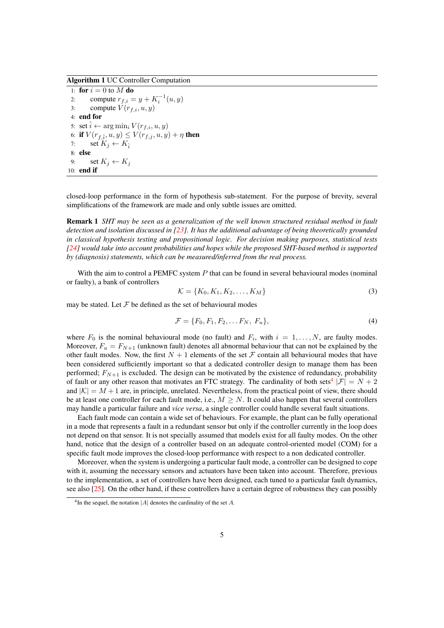Algorithm 1 UC Controller Computation

<span id="page-4-0"></span>1: for  $i = 0$  to  $M$  do 2: compute  $r_{f,i} = y + K_i^{-1}(u, y)$ 3: compute  $V(r_{f,i}, u, y)$ 4: end for 5: set  $\hat{i} \leftarrow \arg \min_i V(r_{f,i}, u, y)$ 6: **if**  $V(r_{f,\hat{i}}, u, y) \leq V(r_{f,j}, u, y) + \eta$  **then** 7: set  $K_j \leftarrow K_i$ 8: else 9: set  $K_i \leftarrow K_j$ 10: end if

closed-loop performance in the form of hypothesis sub-statement. For the purpose of brevity, several simplifications of the framework are made and only subtle issues are omitted.

Remark 1 *SHT may be seen as a generalization of the well known structured residual method in fault detection and isolation discussed in [\[23\]](#page-16-4). It has the additional advantage of being theoretically grounded in classical hypothesis testing and propositional logic. For decision making purposes, statistical tests [\[24\]](#page-16-5) would take into account probabilities and hopes while the proposed SHT-based method is supported by (diagnosis) statements, which can be measured/inferred from the real process.*

With the aim to control a PEMFC system  $P$  that can be found in several behavioural modes (nominal or faulty), a bank of controllers

<span id="page-4-2"></span><span id="page-4-1"></span>
$$
\mathcal{K} = \{K_0, K_1, K_2, \dots, K_M\}
$$
\n<sup>(3)</sup>

may be stated. Let  $\mathcal F$  be defined as the set of behavioural modes

$$
\mathcal{F} = \{F_0, F_1, F_2, \dots F_N, F_u\},\tag{4}
$$

where  $F_0$  is the nominal behavioural mode (no fault) and  $F_i$ , with  $i = 1, ..., N$ , are faulty modes. Moreover,  $F_u = F_{N+1}$  (unknown fault) denotes all abnormal behaviour that can not be explained by the other fault modes. Now, the first  $N + 1$  elements of the set  $\mathcal F$  contain all behavioural modes that have been considered sufficiently important so that a dedicated controller design to manage them has been performed;  $F_{N+1}$  is excluded. The design can be motivated by the existence of redundancy, probability of fault or any other reason that motivates an FTC strategy. The cardinality of both sets<sup>[4](#page-0-0)</sup>  $|\mathcal{F}| = N + 2$ and  $|\mathcal{K}| = M + 1$  are, in principle, unrelated. Nevertheless, from the practical point of view, there should be at least one controller for each fault mode, i.e.,  $M > N$ . It could also happen that several controllers may handle a particular failure and *vice versa*, a single controller could handle several fault situations.

Each fault mode can contain a wide set of behaviours. For example, the plant can be fully operational in a mode that represents a fault in a redundant sensor but only if the controller currently in the loop does not depend on that sensor. It is not specially assumed that models exist for all faulty modes. On the other hand, notice that the design of a controller based on an adequate control-oriented model (COM) for a specific fault mode improves the closed-loop performance with respect to a non dedicated controller.

Moreover, when the system is undergoing a particular fault mode, a controller can be designed to cope with it, assuming the necessary sensors and actuators have been taken into account. Therefore, previous to the implementation, a set of controllers have been designed, each tuned to a particular fault dynamics, see also [\[25\]](#page-16-6). On the other hand, if these controllers have a certain degree of robustness they can possibly

<sup>&</sup>lt;sup>4</sup>In the sequel, the notation  $|A|$  denotes the cardinality of the set A.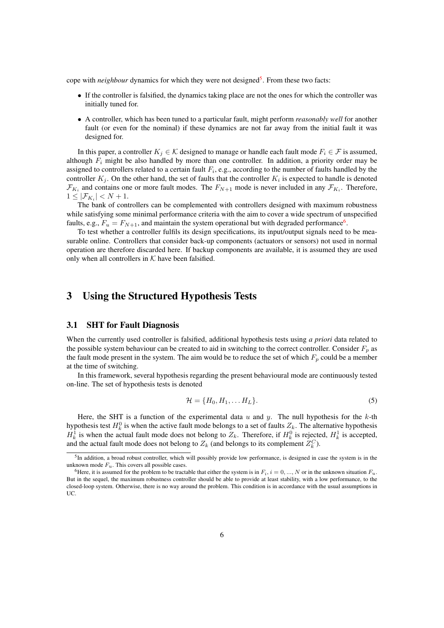cope with *neighbour* dynamics for which they were not designed<sup>[5](#page-0-0)</sup>. From these two facts:

- If the controller is falsified, the dynamics taking place are not the ones for which the controller was initially tuned for.
- A controller, which has been tuned to a particular fault, might perform *reasonably well* for another fault (or even for the nominal) if these dynamics are not far away from the initial fault it was designed for.

In this paper, a controller  $K_i \in \mathcal{K}$  designed to manage or handle each fault mode  $F_i \in \mathcal{F}$  is assumed, although  $F_i$  might be also handled by more than one controller. In addition, a priority order may be assigned to controllers related to a certain fault  $F_i$ , e.g., according to the number of faults handled by the controller  $K_j$ . On the other hand, the set of faults that the controller  $K_i$  is expected to handle is denoted  $\mathcal{F}_{K_i}$  and contains one or more fault modes. The  $F_{N+1}$  mode is never included in any  $\mathcal{F}_{K_i}$ . Therefore,  $1 \leq |\mathcal{F}_{K_i}| < N+1.$ 

The bank of controllers can be complemented with controllers designed with maximum robustness while satisfying some minimal performance criteria with the aim to cover a wide spectrum of unspecified faults, e.g.,  $F_u = F_{N+1}$ , and maintain the system operational but with degraded performance<sup>[6](#page-0-0)</sup>.

To test whether a controller fulfils its design specifications, its input/output signals need to be measurable online. Controllers that consider back-up components (actuators or sensors) not used in normal operation are therefore discarded here. If backup components are available, it is assumed they are used only when all controllers in  $K$  have been falsified.

## <span id="page-5-0"></span>3 Using the Structured Hypothesis Tests

### <span id="page-5-2"></span>3.1 SHT for Fault Diagnosis

When the currently used controller is falsified, additional hypothesis tests using *a priori* data related to the possible system behaviour can be created to aid in switching to the correct controller. Consider  $F_p$  as the fault mode present in the system. The aim would be to reduce the set of which  $F_p$  could be a member at the time of switching.

In this framework, several hypothesis regarding the present behavioural mode are continuously tested on-line. The set of hypothesis tests is denoted

<span id="page-5-1"></span>
$$
\mathcal{H} = \{H_0, H_1, \dots H_L\}.
$$
\n<sup>(5)</sup>

Here, the SHT is a function of the experimental data  $u$  and  $y$ . The null hypothesis for the  $k$ -th hypothesis test  $H_k^0$  is when the active fault mode belongs to a set of faults  $Z_k$ . The alternative hypothesis  $H_k^1$  is when the actual fault mode does not belong to  $Z_k$ . Therefore, if  $H_k^0$  is rejected,  $H_k^1$  is accepted, and the actual fault mode does not belong to  $Z_k$  (and belongs to its complement  $Z_k^C$ ).

<sup>&</sup>lt;sup>5</sup>In addition, a broad robust controller, which will possibly provide low performance, is designed in case the system is in the unknown mode  $F_u$ . This covers all possible cases.

<sup>&</sup>lt;sup>6</sup>Here, it is assumed for the problem to be tractable that either the system is in  $F_i$ ,  $i = 0, ..., N$  or in the unknown situation  $F_u$ . But in the sequel, the maximum robustness controller should be able to provide at least stability, with a low performance, to the closed-loop system. Otherwise, there is no way around the problem. This condition is in accordance with the usual assumptions in UC.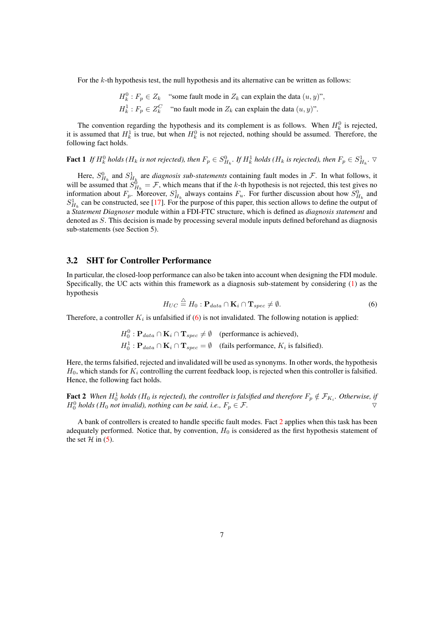For the  $k$ -th hypothesis test, the null hypothesis and its alternative can be written as follows:

$$
H_k^0: F_p \in Z_k \quad \text{``some fault mode in } Z_k \text{ can explain the data } (u, y)",
$$
  

$$
H_k^1: F_p \in Z_k^C \quad \text{``no fault mode in } Z_k \text{ can explain the data } (u, y)".
$$

The convention regarding the hypothesis and its complement is as follows. When  $H_k^0$  is rejected, it is assumed that  $H_k^1$  is true, but when  $H_k^0$  is not rejected, nothing should be assumed. Therefore, the following fact holds.

<span id="page-6-2"></span>Fact 1 If  $H_k^0$  holds ( $H_k$  is not rejected), then  $F_p \in S_{H_k}^0$ . If  $H_k^1$  holds ( $H_k$  is rejected), then  $F_p \in S_{H_k}^1$ .  $\triangledown$ 

Here,  $S_{H_k}^0$  and  $S_{H_k}^1$  are *diagnosis sub-statements* containing fault modes in F. In what follows, it will be assumed that  $S_{H_k}^0 = \mathcal{F}$ , which means that if the k-th hypothesis is not rejected, this test gives no information about  $F_p$ . Moreover,  $S_{H_k}^1$  always contains  $F_u$ . For further discussion about how  $S_{H_k}^0$  and  $S_{H_k}^1$  can be constructed, see [\[17\]](#page-15-15). For the purpose of this paper, this section allows to define the output of a *Statement Diagnoser* module within a FDI-FTC structure, which is defined as *diagnosis statement* and denoted as S. This decision is made by processing several module inputs defined beforehand as diagnosis sub-statements (see Section 5).

### 3.2 SHT for Controller Performance

<span id="page-6-0"></span>In particular, the closed-loop performance can also be taken into account when designing the FDI module. Specifically, the UC acts within this framework as a diagnosis sub-statement by considering [\(1\)](#page-3-1) as the hypothesis

$$
H_{UC} \stackrel{\triangle}{=} H_0: \mathbf{P}_{data} \cap \mathbf{K}_i \cap \mathbf{T}_{spec} \neq \emptyset.
$$
 (6)

Therefore, a controller  $K_i$  is unfalsified if [\(6\)](#page-6-0) is not invalidated. The following notation is applied:

$$
H_0^0: \mathbf{P}_{data} \cap \mathbf{K}_i \cap \mathbf{T}_{spec} \neq \emptyset \quad \text{(performance is achieved)},
$$
  

$$
H_0^1: \mathbf{P}_{data} \cap \mathbf{K}_i \cap \mathbf{T}_{spec} = \emptyset \quad \text{(fails performance, } K_i \text{ is falsified)}.
$$

Here, the terms falsified, rejected and invalidated will be used as synonyms. In other words, the hypothesis  $H_0$ , which stands for  $K_i$  controlling the current feedback loop, is rejected when this controller is falsified. Hence, the following fact holds.

<span id="page-6-1"></span>**Fact 2** When  $H_0^1$  holds ( $H_0$  is rejected), the controller is falsified and therefore  $F_p \notin \mathcal{F}_{K_i}$ . Otherwise, if  $H_0^0$  *holds (H<sub>0</sub> not invalid), nothing can be said, i.e.,*  $F_p \in \mathcal{F}$ .

A bank of controllers is created to handle specific fault modes. Fact [2](#page-6-1) applies when this task has been adequately performed. Notice that, by convention,  $H_0$  is considered as the first hypothesis statement of the set  $H$  in [\(5\)](#page-5-1).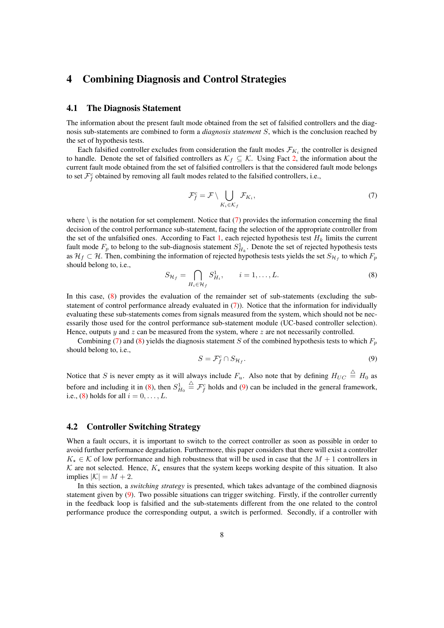# <span id="page-7-0"></span>4 Combining Diagnosis and Control Strategies

#### 4.1 The Diagnosis Statement

The information about the present fault mode obtained from the set of falsified controllers and the diagnosis sub-statements are combined to form a *diagnosis statement* S, which is the conclusion reached by the set of hypothesis tests.

Each falsified controller excludes from consideration the fault modes  $\mathcal{F}_{K_i}$  the controller is designed to handle. Denote the set of falsified controllers as  $\mathcal{K}_f \subseteq \mathcal{K}$ . Using Fact [2,](#page-6-1) the information about the current fault mode obtained from the set of falsified controllers is that the considered fault mode belongs to set  $\mathcal{F}_f^c$  obtained by removing all fault modes related to the falsified controllers, i.e.,

<span id="page-7-1"></span>
$$
\mathcal{F}_f^c = \mathcal{F} \setminus \bigcup_{K_i \in \mathcal{K}_f} \mathcal{F}_{K_i},\tag{7}
$$

where  $\setminus$  is the notation for set complement. Notice that [\(7\)](#page-7-1) provides the information concerning the final decision of the control performance sub-statement, facing the selection of the appropriate controller from the set of the unfalsified ones. According to Fact [1,](#page-6-2) each rejected hypothesis test  $H_k$  limits the current fault mode  $F_p$  to belong to the sub-diagnosis statement  $S_{H_k}^1$ . Denote the set of rejected hypothesis tests as  $\mathcal{H}_f \subset \mathcal{H}$ . Then, combining the information of rejected hypothesis tests yields the set  $S_{\mathcal{H}_f}$  to which  $F_p$ should belong to, i.e.,

<span id="page-7-2"></span>
$$
S_{\mathcal{H}_f} = \bigcap_{H_i \in \mathcal{H}_f} S_{H_i}^1, \qquad i = 1, \dots, L. \tag{8}
$$

In this case, [\(8\)](#page-7-2) provides the evaluation of the remainder set of sub-statements (excluding the substatement of control performance already evaluated in  $(7)$ ). Notice that the information for individually evaluating these sub-statements comes from signals measured from the system, which should not be necessarily those used for the control performance sub-statement module (UC-based controller selection). Hence, outputs y and z can be measured from the system, where z are not necessarily controlled.

<span id="page-7-3"></span>Combining [\(7\)](#page-7-1) and [\(8\)](#page-7-2) yields the diagnosis statement S of the combined hypothesis tests to which  $F_p$ should belong to, i.e.,

$$
S = \mathcal{F}_f^c \cap S_{\mathcal{H}_f}.\tag{9}
$$

Notice that S is never empty as it will always include  $F_u$ . Also note that by defining  $H_{UC} \triangleq H_0$  as before and including it in [\(8\)](#page-7-2), then  $S_{H_0}^1$  $\stackrel{\triangle}{=} \mathcal{F}_f^c$  holds and [\(9\)](#page-7-3) can be included in the general framework, i.e., [\(8\)](#page-7-2) holds for all  $i = 0, \ldots, L$ .

#### <span id="page-7-4"></span>4.2 Controller Switching Strategy

When a fault occurs, it is important to switch to the correct controller as soon as possible in order to avoid further performance degradation. Furthermore, this paper considers that there will exist a controller  $K_{\star} \in \mathcal{K}$  of low performance and high robustness that will be used in case that the  $M + 1$  controllers in K are not selected. Hence,  $K_{\star}$  ensures that the system keeps working despite of this situation. It also implies  $|K| = M + 2$ .

In this section, a *switching strategy* is presented, which takes advantage of the combined diagnosis statement given by [\(9\)](#page-7-3). Two possible situations can trigger switching. Firstly, if the controller currently in the feedback loop is falsified and the sub-statements different from the one related to the control performance produce the corresponding output, a switch is performed. Secondly, if a controller with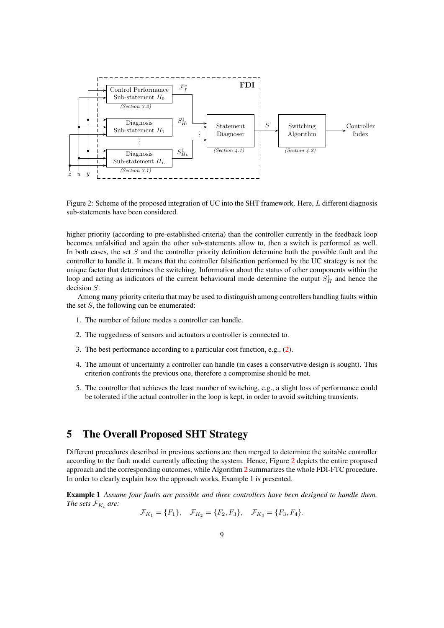

<span id="page-8-1"></span>Figure 2: Scheme of the proposed integration of UC into the SHT framework. Here, L different diagnosis sub-statements have been considered.

higher priority (according to pre-established criteria) than the controller currently in the feedback loop becomes unfalsified and again the other sub-statements allow to, then a switch is performed as well. In both cases, the set  $S$  and the controller priority definition determine both the possible fault and the controller to handle it. It means that the controller falsification performed by the UC strategy is not the unique factor that determines the switching. Information about the status of other components within the loop and acting as indicators of the current behavioural mode determine the output  $S_H^1$  and hence the decision S.

Among many priority criteria that may be used to distinguish among controllers handling faults within the set  $S$ , the following can be enumerated:

- 1. The number of failure modes a controller can handle.
- 2. The ruggedness of sensors and actuators a controller is connected to.
- 3. The best performance according to a particular cost function, e.g., [\(2\)](#page-3-0).
- 4. The amount of uncertainty a controller can handle (in cases a conservative design is sought). This criterion confronts the previous one, therefore a compromise should be met.
- 5. The controller that achieves the least number of switching, e.g., a slight loss of performance could be tolerated if the actual controller in the loop is kept, in order to avoid switching transients.

## <span id="page-8-0"></span>5 The Overall Proposed SHT Strategy

Different procedures described in previous sections are then merged to determine the suitable controller according to the fault model currently affecting the system. Hence, Figure [2](#page-8-1) depicts the entire proposed approach and the corresponding outcomes, while Algorithm [2](#page-9-1) summarizes the whole FDI-FTC procedure. In order to clearly explain how the approach works, Example 1 is presented.

Example 1 *Assume four faults are possible and three controllers have been designed to handle them. The sets*  $\mathcal{F}_{K_i}$  are:

$$
\mathcal{F}_{K_1} = \{F_1\}, \quad \mathcal{F}_{K_2} = \{F_2, F_3\}, \quad \mathcal{F}_{K_3} = \{F_3, F_4\}.
$$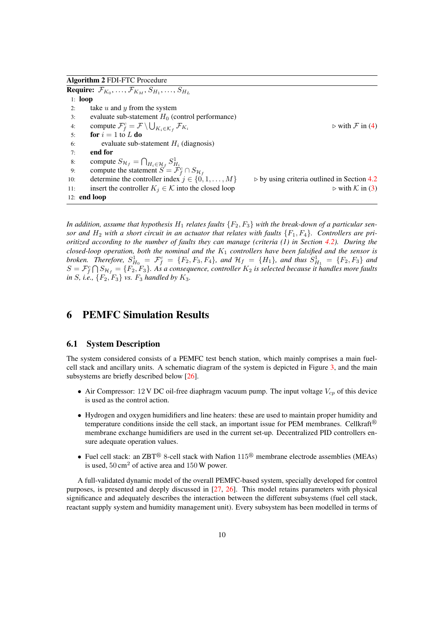Algorithm 2 FDI-FTC Procedure

<span id="page-9-1"></span>**Require:**  $\mathcal{F}_{K_0}, \ldots, \mathcal{F}_{K_M}, S_{H_1}, \ldots, S_{H_L}$ 1: loop 2: take  $u$  and  $y$  from the system 3: evaluate sub-statement  $H_0$  (control performance) 4: compute  $\mathcal{F}_f^c = \mathcal{F} \setminus \bigcup_{K_i \in \mathcal{K}_f}$  $\triangleright$  with  $\mathcal F$  in [\(4\)](#page-4-1) 5: for  $i = 1$  to L do 6: evaluate sub-statement  $H_i$  (diagnosis) 7: end for 8: compute  $S_{\mathcal{H}_f} = \bigcap_{H_i \in \mathcal{H}_f} S_{H_i}^1$ <br>9: compute the statement  $S = \mathcal{F}_f^c \cap S_{\mathcal{H}_f}$ 10: determine the controller index  $j \in \{0, 1, ..., M\}$  by using criteria outlined in Section [4.2](#page-7-4)<br>11: insert the controller  $K_i \in \mathcal{K}$  into the closed loop by with  $\mathcal{K}$  in (3) insert the controller  $K_j \in \mathcal{K}$  into the closed loop 12: end loop

In addition, assume that hypothesis  $H_1$  relates faults  $\{F_2, F_3\}$  with the break-down of a particular sensor and  $H_2$  with a short circuit in an actuator that relates with faults  $\{F_1, F_4\}$ . Controllers are pri*oritized according to the number of faults they can manage (criteria (1) in Section [4.2\)](#page-7-4). During the closed-loop operation, both the nominal and the* K<sup>1</sup> *controllers have been falsified and the sensor is broken.* Therefore,  $S_{H_0}^1 = \mathcal{F}_f^c = \{F_2, F_3, F_4\}$ , and  $\mathcal{H}_f = \{H_1\}$ , and thus  $S_{H_1}^1 = \{F_2, F_3\}$  and  $S = \mathcal{F}_f^c \bigcap S_{\mathcal{H}_f} = \{F_2, F_3\}$ . As a consequence, controller  $K_2$  is selected because it handles more faults *in S, i.e.,*  ${F_2, F_3}$ *vs.*  $F_3$  *handled by*  $K_3$ *.* 

# <span id="page-9-0"></span>6 PEMFC Simulation Results

#### 6.1 System Description

The system considered consists of a PEMFC test bench station, which mainly comprises a main fuelcell stack and ancillary units. A schematic diagram of the system is depicted in Figure [3,](#page-10-0) and the main subsystems are briefly described below [\[26\]](#page-16-7).

- Air Compressor: 12 V DC oil-free diaphragm vacuum pump. The input voltage  $V_{cp}$  of this device is used as the control action.
- Hydrogen and oxygen humidifiers and line heaters: these are used to maintain proper humidity and temperature conditions inside the cell stack, an important issue for PEM membranes. Cellkraft $\mathbb{B}$ membrane exchange humidifiers are used in the current set-up. Decentralized PID controllers ensure adequate operation values.
- Fuel cell stack: an ZBT<sup>®</sup> 8-cell stack with Nafion  $115^\circledR$  membrane electrode assemblies (MEAs) is used,  $50 \text{ cm}^2$  of active area and  $150 \text{ W}$  power.

A full-validated dynamic model of the overall PEMFC-based system, specially developed for control purposes, is presented and deeply discussed in [\[27,](#page-16-8) [26\]](#page-16-7). This model retains parameters with physical significance and adequately describes the interaction between the different subsystems (fuel cell stack, reactant supply system and humidity management unit). Every subsystem has been modelled in terms of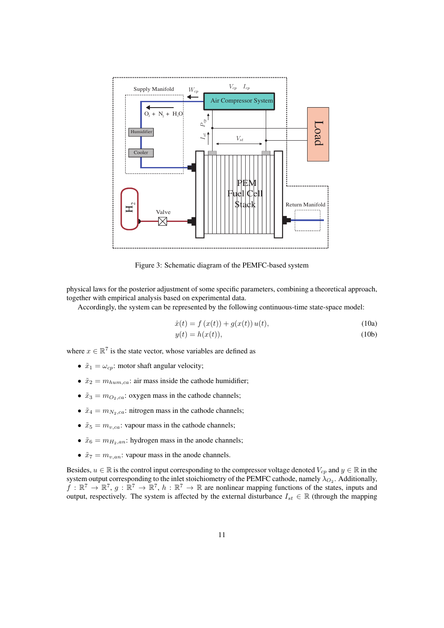

Figure 3: Schematic diagram of the PEMFC-based system

physical laws for the posterior adjustment of some specific parameters, combining a theoretical approach, together with empirical analysis based on experimental data.

Accordingly, the system can be represented by the following continuous-time state-space model:

<span id="page-10-0"></span>
$$
\dot{x}(t) = f(x(t)) + g(x(t))u(t),
$$
\n(10a)

$$
y(t) = h(x(t)),
$$
\n(10b)

where  $x \in \mathbb{R}^7$  is the state vector, whose variables are defined as

- $\tilde{x}_1 = \omega_{cp}$ : motor shaft angular velocity;
- $\tilde{x}_2 = m_{hum,ca}$ : air mass inside the cathode humidifier;
- $\tilde{x}_3 = m_{O_2,ca}$ : oxygen mass in the cathode channels;
- $\tilde{x}_4 = m_{N_2,ca}$ : nitrogen mass in the cathode channels;
- $\tilde{x}_5 = m_{v,ca}$ : vapour mass in the cathode channels;
- $\tilde{x}_6 = m_{H_2,an}$ : hydrogen mass in the anode channels;
- $\tilde{x}_7 = m_{v,an}$ : vapour mass in the anode channels.

Besides,  $u \in \mathbb{R}$  is the control input corresponding to the compressor voltage denoted  $V_{cp}$  and  $y \in \mathbb{R}$  in the system output corresponding to the inlet stoichiometry of the PEMFC cathode, namely  $\lambda_{O_2}$ . Additionally,  $f : \mathbb{R}^7 \to \mathbb{R}^7$ ,  $g : \mathbb{R}^7 \to \mathbb{R}^7$ ,  $h : \mathbb{R}^7 \to \mathbb{R}$  are nonlinear mapping functions of the states, inputs and output, respectively. The system is affected by the external disturbance  $I_{st} \in \mathbb{R}$  (through the mapping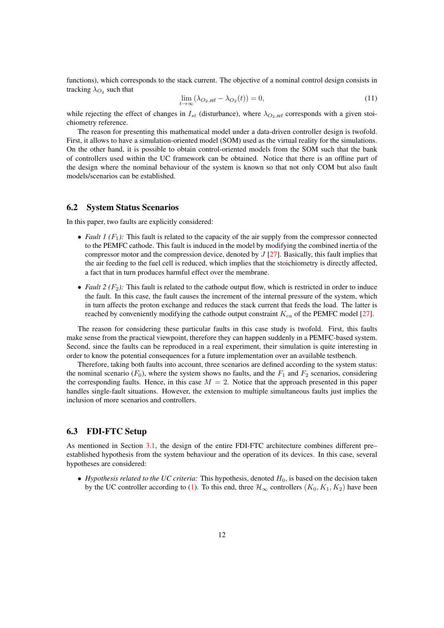functions), which corresponds to the stack current. The objective of a nominal control design consists in tracking  $\lambda_{O_2}$  such that

$$
\lim_{t \to \infty} (\lambda_{O_2, \text{ref}} - \lambda_{O_2}(t)) = 0,\tag{11}
$$

while rejecting the effect of changes in  $I_{st}$  (disturbance), where  $\lambda_{O_2,ref}$  corresponds with a given stoichiometry reference.

The reason for presenting this mathematical model under a data-driven controller design is twofold. First, it allows to have a simulation-oriented model (SOM) used as the virtual reality for the simulations. On the other hand, it is possible to obtain control-oriented models from the SOM such that the bank of controllers used within the UC framework can be obtained. Notice that there is an offline part of the design where the nominal behaviour of the system is known so that not only COM but also fault models/scenarios can be established.

## 6.2 System Status Scenarios

In this paper, two faults are explicitly considered:

- *Fault 1 (F<sub>1</sub>):* This fault is related to the capacity of the air supply from the compressor connected to the PEMFC cathode. This fault is induced in the model by modifying the combined inertia of the compressor motor and the compression device, denoted by  $J$  [\[27\]](#page-16-8). Basically, this fault implies that the air feeding to the fuel cell is reduced, which implies that the stoichiometry is directly affected, a fact that in turn produces harmful effect over the membrane.
- *Fault 2 (F<sub>2</sub>):* This fault is related to the cathode output flow, which is restricted in order to induce the fault. In this case, the fault causes the increment of the internal pressure of the system, which in turn affects the proton exchange and reduces the stack current that feeds the load. The latter is reached by conveniently modifying the cathode output constraint  $K_{ca}$  of the PEMFC model [\[27\]](#page-16-8).

The reason for considering these particular faults in this case study is twofold. First, this faults make sense from the practical viewpoint, therefore they can happen suddenly in a PEMFC-based system. Second, since the faults can be reproduced in a real experiment, their simulation is quite interesting in order to know the potential consequences for a future implementation over an available testbench.

Therefore, taking both faults into account, three scenarios are defined according to the system status: the nominal scenario ( $F_0$ ), where the system shows no faults, and the  $F_1$  and  $F_2$  scenarios, considering the corresponding faults. Hence, in this case  $M = 2$ . Notice that the approach presented in this paper handles single-fault situations. However, the extension to multiple simultaneous faults just implies the inclusion of more scenarios and controllers.

#### 6.3 FDI-FTC Setup

As mentioned in Section [3.1,](#page-5-2) the design of the entire FDI-FTC architecture combines different pre– established hypothesis from the system behaviour and the operation of its devices. In this case, several hypotheses are considered:

• *Hypothesis related to the UC criteria:* This hypothesis, denoted  $H_0$ , is based on the decision taken by the UC controller according to [\(1\)](#page-3-1). To this end, three  $\mathcal{H}_{\infty}$  controllers  $(K_0, K_1, K_2)$  have been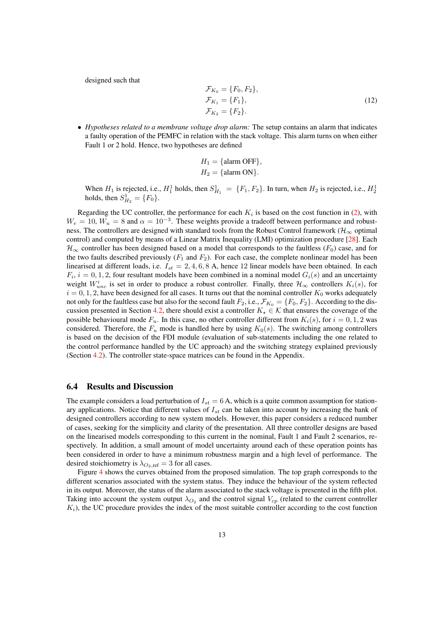<span id="page-12-0"></span>designed such that

$$
\mathcal{F}_{K_0} = \{F_0, F_2\}, \n\mathcal{F}_{K_1} = \{F_1\}, \n\mathcal{F}_{K_2} = \{F_2\}.
$$
\n(12)

• *Hypotheses related to a membrane voltage drop alarm:* The setup contains an alarm that indicates a faulty operation of the PEMFC in relation with the stack voltage. This alarm turns on when either Fault 1 or 2 hold. Hence, two hypotheses are defined

$$
H_1 = \{ \text{alarm OFF} \},
$$
  

$$
H_2 = \{ \text{alarm ON} \}.
$$

When  $H_1$  is rejected, i.e.,  $H_1^1$  holds, then  $S_{H_1}^1 = \{F_1, F_2\}$ . In turn, when  $H_2$  is rejected, i.e.,  $H_2^1$ holds, then  $S_{H_2}^1 = \{F_0\}.$ 

Regarding the UC controller, the performance for each  $K_i$  is based on the cost function in [\(2\)](#page-3-0), with  $W_e = 10$ ,  $W_u = 8$  and  $\alpha = 10^{-3}$ . These weights provide a tradeoff between performance and robustness. The controllers are designed with standard tools from the Robust Control framework ( $\mathcal{H}_{\infty}$  optimal control) and computed by means of a Linear Matrix Inequality (LMI) optimization procedure [\[28\]](#page-16-9). Each  $\mathcal{H}_{\infty}$  controller has been designed based on a model that corresponds to the faultless ( $F_0$ ) case, and for the two faults described previously  $(F_1$  and  $F_2)$ . For each case, the complete nonlinear model has been linearised at different loads, i.e.  $I_{st} = 2, 4, 6, 8$  A, hence 12 linear models have been obtained. In each  $F_i$ ,  $i = 0, 1, 2$ , four resultant models have been combined in a nominal model  $G_i(s)$  and an uncertainty weight  $W_{unc}^i$  is set in order to produce a robust controller. Finally, three  $\mathcal{H}_{\infty}$  controllers  $K_i(s)$ , for  $i = 0, 1, 2$ , have been designed for all cases. It turns out that the nominal controller  $K_0$  works adequately not only for the faultless case but also for the second fault  $F_2$ , i.e.,  $\mathcal{F}_{K_0} = \{F_0, F_2\}$ . According to the dis-cussion presented in Section [4.2,](#page-7-4) there should exist a controller  $K<sub>+</sub> \in \mathcal{K}$  that ensures the coverage of the possible behavioural mode  $F_u$ . In this case, no other controller different from  $K_i(s)$ , for  $i = 0, 1, 2$  was considered. Therefore, the  $F_u$  mode is handled here by using  $K_0(s)$ . The switching among controllers is based on the decision of the FDI module (evaluation of sub-statements including the one related to the control performance handled by the UC approach) and the switching strategy explained previously (Section [4.2\)](#page-7-4). The controller state-space matrices can be found in the Appendix.

#### 6.4 Results and Discussion

The example considers a load perturbation of  $I_{st} = 6$  A, which is a quite common assumption for stationary applications. Notice that different values of  $I_{st}$  can be taken into account by increasing the bank of designed controllers according to new system models. However, this paper considers a reduced number of cases, seeking for the simplicity and clarity of the presentation. All three controller designs are based on the linearised models corresponding to this current in the nominal, Fault 1 and Fault 2 scenarios, respectively. In addition, a small amount of model uncertainty around each of these operation points has been considered in order to have a minimum robustness margin and a high level of performance. The desired stoichiometry is  $\lambda_{O_2,\text{ref}} = 3$  for all cases.

Figure [4](#page-13-0) shows the curves obtained from the proposed simulation. The top graph corresponds to the different scenarios associated with the system status. They induce the behaviour of the system reflected in its output. Moreover, the status of the alarm associated to the stack voltage is presented in the fifth plot. Taking into account the system output  $\lambda_{O_2}$  and the control signal  $V_{cp}$  (related to the current controller  $K_i$ ), the UC procedure provides the index of the most suitable controller according to the cost function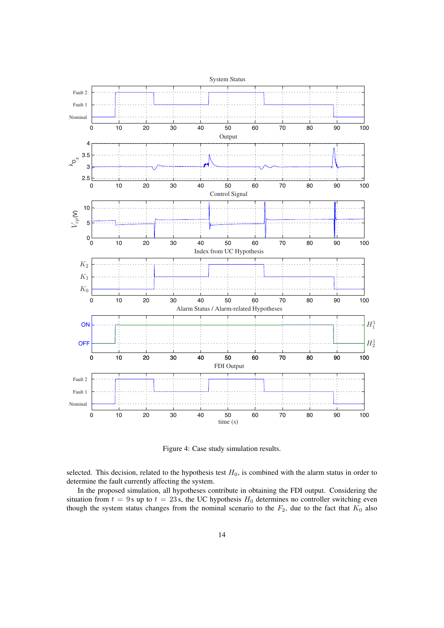

<span id="page-13-0"></span>Figure 4: Case study simulation results.

selected. This decision, related to the hypothesis test  $H_0$ , is combined with the alarm status in order to determine the fault currently affecting the system.

In the proposed simulation, all hypotheses contribute in obtaining the FDI output. Considering the situation from  $t = 9$  s up to  $t = 23$  s, the UC hypothesis  $H_0$  determines no controller switching even though the system status changes from the nominal scenario to the  $F_2$ , due to the fact that  $K_0$  also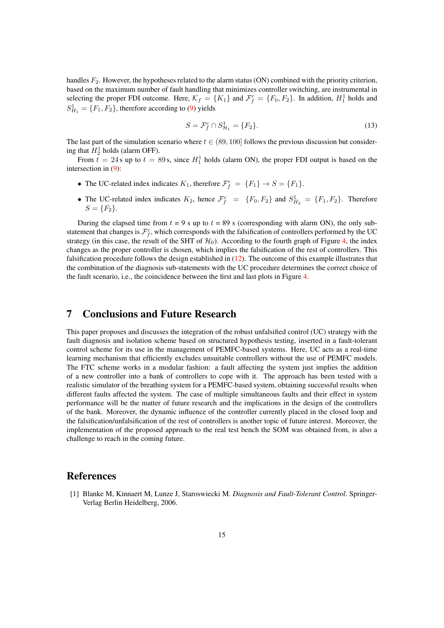handles  $F_2$ . However, the hypotheses related to the alarm status (ON) combined with the priority criterion, based on the maximum number of fault handling that minimizes controller switching, are instrumental in selecting the proper FDI outcome. Here,  $\mathcal{K}_f = \{K_1\}$  and  $\mathcal{F}_f^c = \{F_0, F_2\}$ . In addition,  $H_1^1$  holds and  $S_{H_1}^1 = \{F_1, F_2\}$ , therefore according to [\(9\)](#page-7-3) yields

$$
S = \mathcal{F}_f^c \cap S_{\mathcal{H}_1}^1 = \{F_2\}.
$$
 (13)

The last part of the simulation scenario where  $t \in (89, 100]$  follows the previous discussion but considering that  $H_2^1$  holds (alarm OFF).

From  $t = 24$  s up to  $t = 89$  s, since  $H_1^1$  holds (alarm ON), the proper FDI output is based on the intersection in [\(9\)](#page-7-3):

- The UC-related index indicates  $K_1$ , therefore  $\mathcal{F}_f^c = \{F_1\} \rightarrow S = \{F_1\}.$
- The UC-related index indicates  $K_2$ , hence  $\mathcal{F}_f^c = \{F_0, F_2\}$  and  $S_{H_2}^1 = \{F_1, F_2\}$ . Therefore  $S = \{F_2\}.$

During the elapsed time from  $t = 9$  s up to  $t = 89$  s (corresponding with alarm ON), the only substatement that changes is  $\mathcal{F}_f^c$ , which corresponds with the falsification of controllers performed by the UC strategy (in this case, the result of the SHT of  $H_0$ ). According to the fourth graph of Figure [4,](#page-13-0) the index changes as the proper controller is chosen, which implies the falsification of the rest of controllers. This falsification procedure follows the design established in [\(12\)](#page-12-0). The outcome of this example illustrates that the combination of the diagnosis sub-statements with the UC procedure determines the correct choice of the fault scenario, i.e., the coincidence between the first and last plots in Figure [4.](#page-13-0)

## <span id="page-14-1"></span>7 Conclusions and Future Research

This paper proposes and discusses the integration of the robust unfalsified control (UC) strategy with the fault diagnosis and isolation scheme based on structured hypothesis testing, inserted in a fault-tolerant control scheme for its use in the management of PEMFC-based systems. Here, UC acts as a real-time learning mechanism that efficiently excludes unsuitable controllers without the use of PEMFC models. The FTC scheme works in a modular fashion: a fault affecting the system just implies the addition of a new controller into a bank of controllers to cope with it. The approach has been tested with a realistic simulator of the breathing system for a PEMFC-based system, obtaining successful results when different faults affected the system. The case of multiple simultaneous faults and their effect in system performance will be the matter of future research and the implications in the design of the controllers of the bank. Moreover, the dynamic influence of the controller currently placed in the closed loop and the falsification/unfalsification of the rest of controllers is another topic of future interest. Moreover, the implementation of the proposed approach to the real test bench the SOM was obtained from, is also a challenge to reach in the coming future.

## References

<span id="page-14-0"></span>[1] Blanke M, Kinnaert M, Lunze J, Staroswiecki M. *Diagnosis and Fault-Tolerant Control*. Springer-Verlag Berlin Heidelberg, 2006.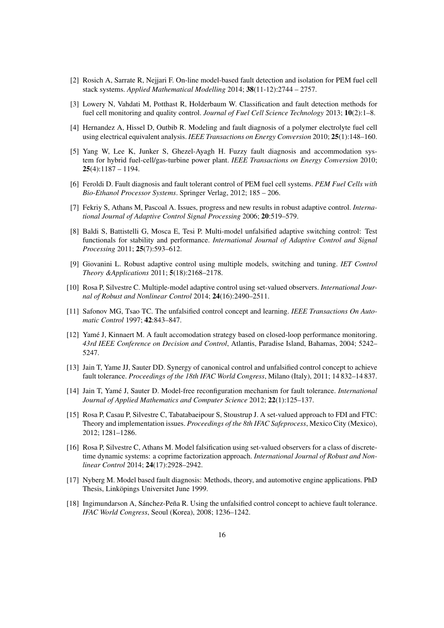- <span id="page-15-0"></span>[2] Rosich A, Sarrate R, Nejjari F. On-line model-based fault detection and isolation for PEM fuel cell stack systems. *Applied Mathematical Modelling* 2014; 38(11-12):2744 – 2757.
- <span id="page-15-1"></span>[3] Lowery N, Vahdati M, Potthast R, Holderbaum W. Classification and fault detection methods for fuel cell monitoring and quality control. *Journal of Fuel Cell Science Technology* 2013; 10(2):1–8.
- <span id="page-15-2"></span>[4] Hernandez A, Hissel D, Outbib R. Modeling and fault diagnosis of a polymer electrolyte fuel cell using electrical equivalent analysis. *IEEE Transactions on Energy Conversion* 2010; 25(1):148–160.
- <span id="page-15-3"></span>[5] Yang W, Lee K, Junker S, Ghezel-Ayagh H. Fuzzy fault diagnosis and accommodation system for hybrid fuel-cell/gas-turbine power plant. *IEEE Transactions on Energy Conversion* 2010;  $25(4):1187 - 1194.$
- <span id="page-15-4"></span>[6] Feroldi D. Fault diagnosis and fault tolerant control of PEM fuel cell systems. *PEM Fuel Cells with Bio-Ethanol Processor Systems*. Springer Verlag, 2012; 185 – 206.
- <span id="page-15-5"></span>[7] Fekriy S, Athans M, Pascoal A. Issues, progress and new results in robust adaptive control. *International Journal of Adaptive Control Signal Processing* 2006; 20:519–579.
- <span id="page-15-6"></span>[8] Baldi S, Battistelli G, Mosca E, Tesi P. Multi-model unfalsified adaptive switching control: Test functionals for stability and performance. *International Journal of Adaptive Control and Signal Processing* 2011; 25(7):593–612.
- <span id="page-15-7"></span>[9] Giovanini L. Robust adaptive control using multiple models, switching and tuning. *IET Control Theory &Applications* 2011; 5(18):2168–2178.
- <span id="page-15-8"></span>[10] Rosa P, Silvestre C. Multiple-model adaptive control using set-valued observers. *International Journal of Robust and Nonlinear Control* 2014; 24(16):2490–2511.
- <span id="page-15-9"></span>[11] Safonov MG, Tsao TC. The unfalsified control concept and learning. *IEEE Transactions On Automatic Control* 1997; 42:843–847.
- <span id="page-15-10"></span>[12] Yamé J, Kinnaert M. A fault accomodation strategy based on closed-loop performance monitoring. *43rd IEEE Conference on Decision and Control*, Atlantis, Paradise Island, Bahamas, 2004; 5242– 5247.
- <span id="page-15-11"></span>[13] Jain T, Yame JJ, Sauter DD. Synergy of canonical control and unfalsified control concept to achieve fault tolerance. *Proceedings of the 18th IFAC World Congress*, Milano (Italy), 2011; 14 832–14 837.
- <span id="page-15-12"></span>[14] Jain T, Yamé J, Sauter D. Model-free reconfiguration mechanism for fault tolerance. *International Journal of Applied Mathematics and Computer Science* 2012; 22(1):125–137.
- <span id="page-15-13"></span>[15] Rosa P, Casau P, Silvestre C, Tabatabaeipour S, Stoustrup J. A set-valued approach to FDI and FTC: Theory and implementation issues. *Proceedings of the 8th IFAC Safeprocess*, Mexico City (Mexico), 2012; 1281–1286.
- <span id="page-15-14"></span>[16] Rosa P, Silvestre C, Athans M. Model falsification using set-valued observers for a class of discretetime dynamic systems: a coprime factorization approach. *International Journal of Robust and Nonlinear Control* 2014; 24(17):2928–2942.
- <span id="page-15-15"></span>[17] Nyberg M. Model based fault diagnosis: Methods, theory, and automotive engine applications. PhD Thesis, Linköpings Universitet June 1999.
- <span id="page-15-16"></span>[18] Ingimundarson A, Sánchez-Peña R. Using the unfalsified control concept to achieve fault tolerance. *IFAC World Congress*, Seoul (Korea), 2008; 1236–1242.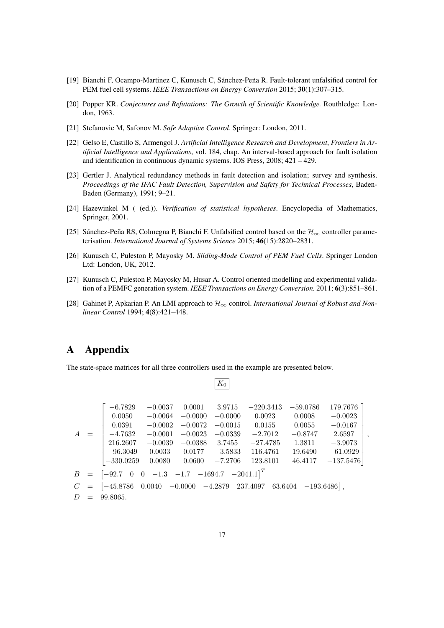- <span id="page-16-0"></span>[19] Bianchi F, Ocampo-Martinez C, Kunusch C, Sánchez-Peña R. Fault-tolerant unfalsified control for PEM fuel cell systems. *IEEE Transactions on Energy Conversion* 2015; 30(1):307–315.
- <span id="page-16-1"></span>[20] Popper KR. *Conjectures and Refutations: The Growth of Scientific Knowledge.* Routhledge: London, 1963.
- <span id="page-16-2"></span>[21] Stefanovic M, Safonov M. *Safe Adaptive Control*. Springer: London, 2011.
- <span id="page-16-3"></span>[22] Gelso E, Castillo S, Armengol J. *Artificial Intelligence Research and Development*, *Frontiers in Artificial Intelligence and Applications*, vol. 184, chap. An interval-based approach for fault isolation and identification in continuous dynamic systems. IOS Press, 2008; 421 – 429.
- <span id="page-16-4"></span>[23] Gertler J. Analytical redundancy methods in fault detection and isolation; survey and synthesis. *Proceedings of the IFAC Fault Detection, Supervision and Safety for Technical Processes*, Baden-Baden (Germany), 1991; 9–21.
- <span id="page-16-5"></span>[24] Hazewinkel M ( (ed.)). *Verification of statistical hypotheses*. Encyclopedia of Mathematics, Springer, 2001.
- <span id="page-16-6"></span>[25] Sánchez-Peña RS, Colmegna P, Bianchi F. Unfalsified control based on the  $\mathcal{H}_{\infty}$  controller parameterisation. *International Journal of Systems Science* 2015; 46(15):2820–2831.
- <span id="page-16-7"></span>[26] Kunusch C, Puleston P, Mayosky M. *Sliding-Mode Control of PEM Fuel Cells*. Springer London Ltd: London, UK, 2012.
- <span id="page-16-8"></span>[27] Kunusch C, Puleston P, Mayosky M, Husar A. Control oriented modelling and experimental validation of a PEMFC generation system. *IEEE Transactions on Energy Conversion.* 2011; 6(3):851–861.
- <span id="page-16-9"></span>[28] Gahinet P, Apkarian P. An LMI approach to H<sup>∞</sup> control. *International Journal of Robust and Nonlinear Control* 1994; 4(8):421–448.

## A Appendix

The state-space matrices for all three controllers used in the example are presented below.

|                                                                                       | $-6.7829$                                                                                               | $-0.0037$         | $0.0001$ $3.9715$ |           | $-220.3413$ | $-59.0786$ | 179.7676 ]  |  |
|---------------------------------------------------------------------------------------|---------------------------------------------------------------------------------------------------------|-------------------|-------------------|-----------|-------------|------------|-------------|--|
|                                                                                       | 0.0050                                                                                                  | $-0.0064$         | $-0.0000$         | $-0.0000$ | 0.0023      | 0.0008     | $-0.0023$   |  |
|                                                                                       | 0.0391                                                                                                  | $-0.0002$         | $-0.0072$         | $-0.0015$ | 0.0155      | 0.0055     | $-0.0167$   |  |
| $A =$                                                                                 | $-4.7632$                                                                                               | $-0.0001$         | $-0.0023$         | $-0.0339$ | $-2.7012$   | $-0.8747$  | 2.6597      |  |
|                                                                                       | 216.2607                                                                                                | $-0.0039$         | $-0.0388$         | 3.7455    | $-27.4785$  | 1.3811     | $-3.9073$   |  |
|                                                                                       | $-96.3049$                                                                                              | $0.0033$ $0.0177$ |                   | $-3.5833$ | 116.4761    | 19.6490    | $-61.0929$  |  |
|                                                                                       | $-330.0259$                                                                                             | 0.0080            | 0.0600            | $-7.2706$ | 123.8101    | 46.4117    | $-137.5476$ |  |
| $B = \begin{bmatrix} -92.7 & 0 & 0 & -1.3 & -1.7 & -1694.7 & -2041.1 \end{bmatrix}^T$ |                                                                                                         |                   |                   |           |             |            |             |  |
|                                                                                       | $C = [-45.8786 \quad 0.0040 \quad -0.0000 \quad -4.2879 \quad 237.4097 \quad 63.6404 \quad -193.6486],$ |                   |                   |           |             |            |             |  |
|                                                                                       | $D = 99.8065.$                                                                                          |                   |                   |           |             |            |             |  |

,

 $K_0$